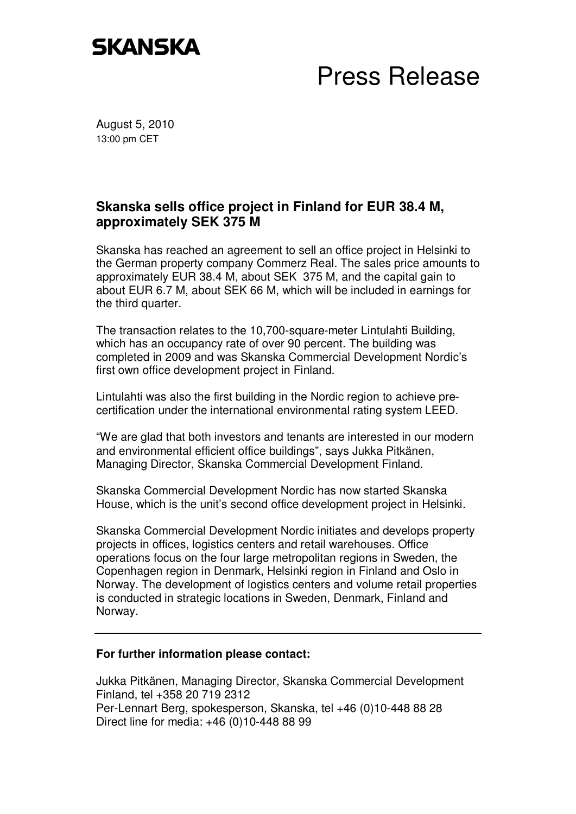## **SKANSKA**

## Press Release

August 5, 2010 13:00 pm CET

## **Skanska sells office project in Finland for EUR 38.4 M, approximately SEK 375 M**

Skanska has reached an agreement to sell an office project in Helsinki to the German property company Commerz Real. The sales price amounts to approximately EUR 38.4 M, about SEK 375 M, and the capital gain to about EUR 6.7 M, about SEK 66 M, which will be included in earnings for the third quarter.

The transaction relates to the 10,700-square-meter Lintulahti Building, which has an occupancy rate of over 90 percent. The building was completed in 2009 and was Skanska Commercial Development Nordic's first own office development project in Finland.

Lintulahti was also the first building in the Nordic region to achieve precertification under the international environmental rating system LEED.

"We are glad that both investors and tenants are interested in our modern and environmental efficient office buildings", says Jukka Pitkänen, Managing Director, Skanska Commercial Development Finland.

Skanska Commercial Development Nordic has now started Skanska House, which is the unit's second office development project in Helsinki.

Skanska Commercial Development Nordic initiates and develops property projects in offices, logistics centers and retail warehouses. Office operations focus on the four large metropolitan regions in Sweden, the Copenhagen region in Denmark, Helsinki region in Finland and Oslo in Norway. The development of logistics centers and volume retail properties is conducted in strategic locations in Sweden, Denmark, Finland and Norway.

## **For further information please contact:**

Jukka Pitkänen, Managing Director, Skanska Commercial Development Finland, tel +358 20 719 2312 Per-Lennart Berg, spokesperson, Skanska, tel +46 (0)10-448 88 28 Direct line for media: +46 (0)10-448 88 99